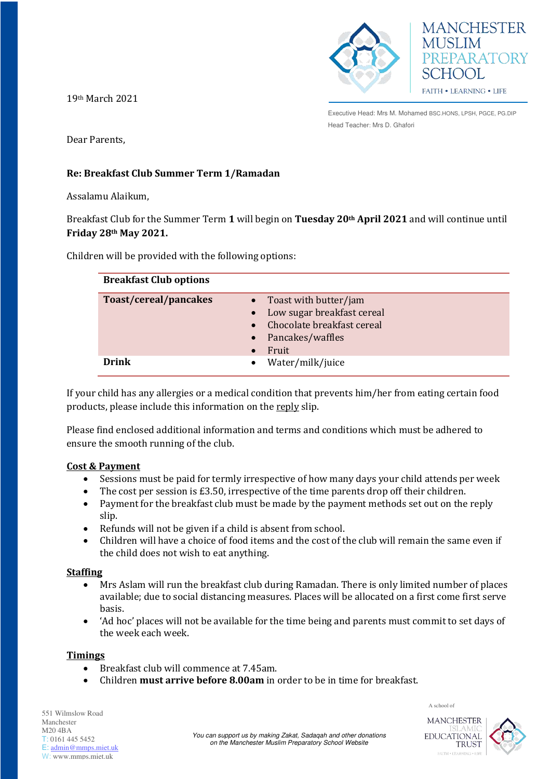

19th March 2021

Dear Parents,

# **Re: Breakfast Club Summer Term 1/Ramadan**

Assalamu Alaikum,

Breakfast Club for the Summer Term **1** will begin on **Tuesday 20th April 2021** and will continue until **Friday 28th May 2021.**

Children will be provided with the following options:

| <b>Breakfast Club options</b> |                                                                                                                |
|-------------------------------|----------------------------------------------------------------------------------------------------------------|
| Toast/cereal/pancakes         | Toast with butter/jam<br>Low sugar breakfast cereal<br>Chocolate breakfast cereal<br>Pancakes/waffles<br>Fruit |
| Drink                         | Water/milk/juice                                                                                               |

If your child has any allergies or a medical condition that prevents him/her from eating certain food products, please include this information on the reply slip.

Please find enclosed additional information and terms and conditions which must be adhered to ensure the smooth running of the club.

# **Cost & Payment**

- Sessions must be paid for termly irrespective of how many days your child attends per week
- $\bullet$  The cost per session is £3.50, irrespective of the time parents drop off their children.
- Payment for the breakfast club must be made by the payment methods set out on the reply slip.
- Refunds will not be given if a child is absent from school.
- Children will have a choice of food items and the cost of the club will remain the same even if the child does not wish to eat anything.

### **Staffing**

- Mrs Aslam will run the breakfast club during Ramadan. There is only limited number of places available; due to social distancing measures. Places will be allocated on a first come first serve basis.
- 'Ad hoc' places will not be available for the time being and parents must commit to set days of the week each week.

### **Timings**

- Breakfast club will commence at 7.45am.
- Children **must arrive before 8.00am** in order to be in time for breakfast.

551 Wilmslow Road Manchester M20 4BA T: 0161 445 5452 E: [admin@mmps.miet.uk](mailto:admin@mmps.miet.uk) W: www.mmps.miet.uk

**MANCHESTER** EDUCATIONAL **TRUST** 

A school of

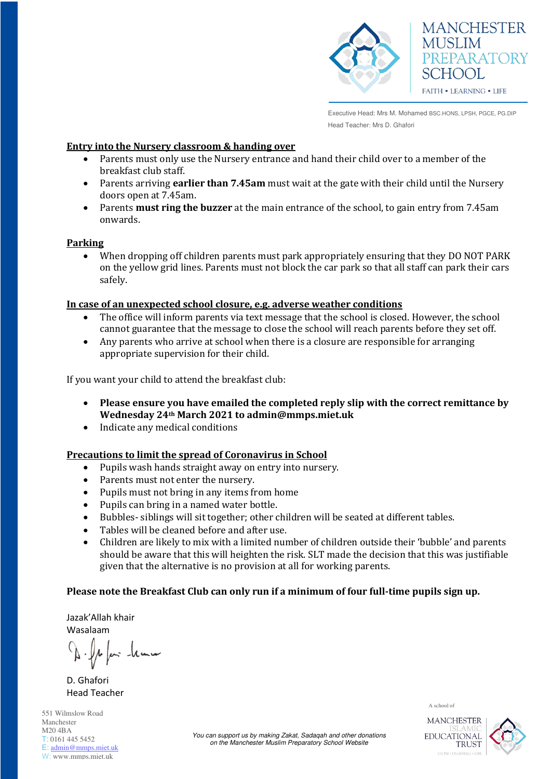

#### **Entry into the Nursery classroom & handing over**

- Parents must only use the Nursery entrance and hand their child over to a member of the breakfast club staff.
- Parents arriving **earlier than 7.45am** must wait at the gate with their child until the Nursery doors open at 7.45am.
- Parents **must ring the buzzer** at the main entrance of the school, to gain entry from 7.45am onwards.

#### **Parking**

 When dropping off children parents must park appropriately ensuring that they DO NOT PARK on the yellow grid lines. Parents must not block the car park so that all staff can park their cars safely.

#### **In case of an unexpected school closure, e.g. adverse weather conditions**

- The office will inform parents via text message that the school is closed. However, the school cannot guarantee that the message to close the school will reach parents before they set off.
- Any parents who arrive at school when there is a closure are responsible for arranging appropriate supervision for their child.

If you want your child to attend the breakfast club:

- **Please ensure you have emailed the completed reply slip with the correct remittance by Wednesday 24th March 2021 to admin@mmps.miet.uk**
- Indicate any medical conditions

### **Precautions to limit the spread of Coronavirus in School**

- Pupils wash hands straight away on entry into nursery.
- Parents must not enter the nursery.
- Pupils must not bring in any items from home
- Pupils can bring in a named water bottle.
- Bubbles- siblings will sit together; other children will be seated at different tables.
- Tables will be cleaned before and after use.
- Children are likely to mix with a limited number of children outside their 'bubble' and parents should be aware that this will heighten the risk. SLT made the decision that this was justifiable given that the alternative is no provision at all for working parents.

### **Please note the Breakfast Club can only run if a minimum of four full-time pupils sign up.**

Jazak'Allah khair Wasalaam

n hum

D. Ghafori Head Teacher

A school of

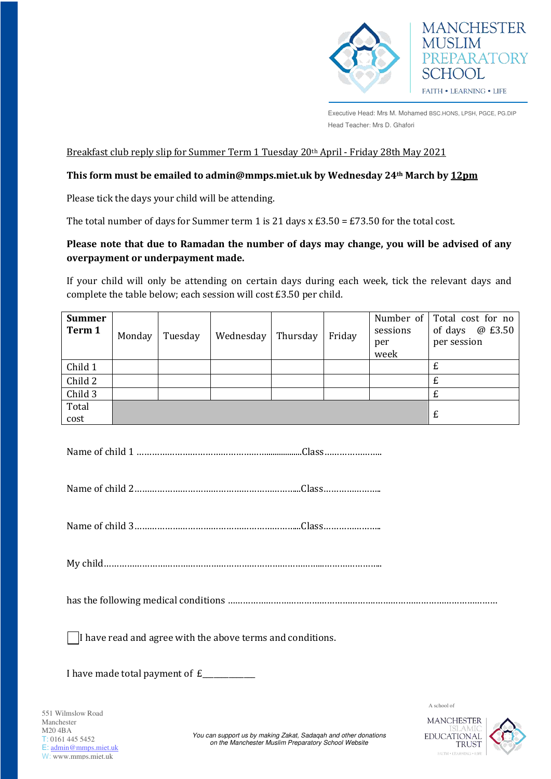

**MANCHESTER** 

REPARATORY

**MUSLIM** 

SCHOOL

FAITH . LEARNING . LIFE

## Breakfast club reply slip for Summer Term 1 Tuesday 20th April - Friday 28th May 2021

### **This form must be emailed to admin@mmps.miet.uk by Wednesday 24th March by 12pm**

Please tick the days your child will be attending.

The total number of days for Summer term 1 is 21 days  $x \, \text{E3.50} = \text{E73.50}$  for the total cost.

# **Please note that due to Ramadan the number of days may change, you will be advised of any overpayment or underpayment made.**

If your child will only be attending on certain days during each week, tick the relevant days and complete the table below; each session will cost £3.50 per child.

| <b>Summer</b><br>Term 1 | Monday | Tuesday | Wednesday | Thursday | Friday | Number of<br>sessions<br>per<br>week | Total cost for no<br>@ £3.50<br>of days<br>per session |
|-------------------------|--------|---------|-----------|----------|--------|--------------------------------------|--------------------------------------------------------|
| Child 1                 |        |         |           |          |        |                                      |                                                        |
| Child 2                 |        |         |           |          |        |                                      |                                                        |
| Child 3                 |        |         |           |          |        |                                      |                                                        |
| Total                   |        |         |           |          |        |                                      |                                                        |
| cost                    |        |         |           |          |        |                                      | £                                                      |

Name of child 1 …………………………………………….................Class…………………..

Name of child 2………………………………………………………...Class…………………..

Name of child 3………………………………………………………...Class…………………..

My child…………………………………………………………………………...…………………..

has the following medical conditions ………………………………………………….…………………………………………

 $\Box$  have read and agree with the above terms and conditions.

I have made total payment of  $E$ 



A school of

*You can support us by making Zakat, Sadaqah and other donations on the Manchester Muslim Preparatory School Website*